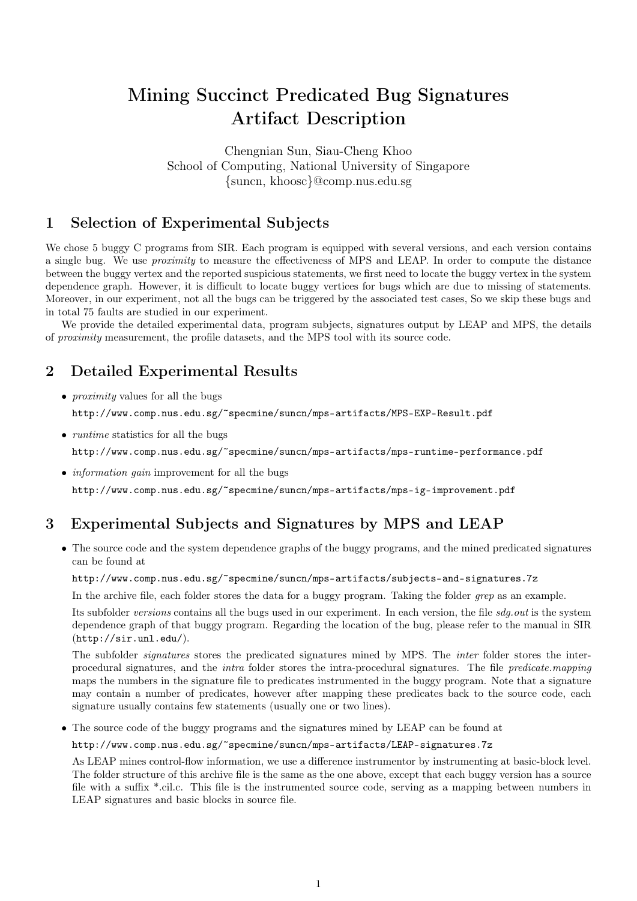# Mining Succinct Predicated Bug Signatures Artifact Description

Chengnian Sun, Siau-Cheng Khoo School of Computing, National University of Singapore {suncn, khoosc}@comp.nus.edu.sg

### 1 Selection of Experimental Subjects

We chose 5 buggy C programs from SIR. Each program is equipped with several versions, and each version contains a single bug. We use proximity to measure the effectiveness of MPS and LEAP. In order to compute the distance between the buggy vertex and the reported suspicious statements, we first need to locate the buggy vertex in the system dependence graph. However, it is difficult to locate buggy vertices for bugs which are due to missing of statements. Moreover, in our experiment, not all the bugs can be triggered by the associated test cases, So we skip these bugs and in total 75 faults are studied in our experiment.

We provide the detailed experimental data, program subjects, signatures output by LEAP and MPS, the details of proximity measurement, the profile datasets, and the MPS tool with its source code.

### 2 Detailed Experimental Results

• *proximity* values for all the bugs

http://www.comp.nus.edu.sg/~specmine/suncn/mps-artifacts/MPS-EXP-Result.pdf

• *runtime* statistics for all the bugs

http://www.comp.nus.edu.sg/~specmine/suncn/mps-artifacts/mps-runtime-performance.pdf

• *information gain* improvement for all the bugs http://www.comp.nus.edu.sg/~specmine/suncn/mps-artifacts/mps-ig-improvement.pdf

### 3 Experimental Subjects and Signatures by MPS and LEAP

• The source code and the system dependence graphs of the buggy programs, and the mined predicated signatures can be found at

#### http://www.comp.nus.edu.sg/~specmine/suncn/mps-artifacts/subjects-and-signatures.7z

In the archive file, each folder stores the data for a buggy program. Taking the folder *grep* as an example.

Its subfolder versions contains all the bugs used in our experiment. In each version, the file sdg.out is the system dependence graph of that buggy program. Regarding the location of the bug, please refer to the manual in SIR (http://sir.unl.edu/).

The subfolder *signatures* stores the predicated signatures mined by MPS. The *inter* folder stores the interprocedural signatures, and the intra folder stores the intra-procedural signatures. The file predicate.mapping maps the numbers in the signature file to predicates instrumented in the buggy program. Note that a signature may contain a number of predicates, however after mapping these predicates back to the source code, each signature usually contains few statements (usually one or two lines).

• The source code of the buggy programs and the signatures mined by LEAP can be found at

#### http://www.comp.nus.edu.sg/~specmine/suncn/mps-artifacts/LEAP-signatures.7z

As LEAP mines control-flow information, we use a difference instrumentor by instrumenting at basic-block level. The folder structure of this archive file is the same as the one above, except that each buggy version has a source file with a suffix \*.cil.c. This file is the instrumented source code, serving as a mapping between numbers in LEAP signatures and basic blocks in source file.